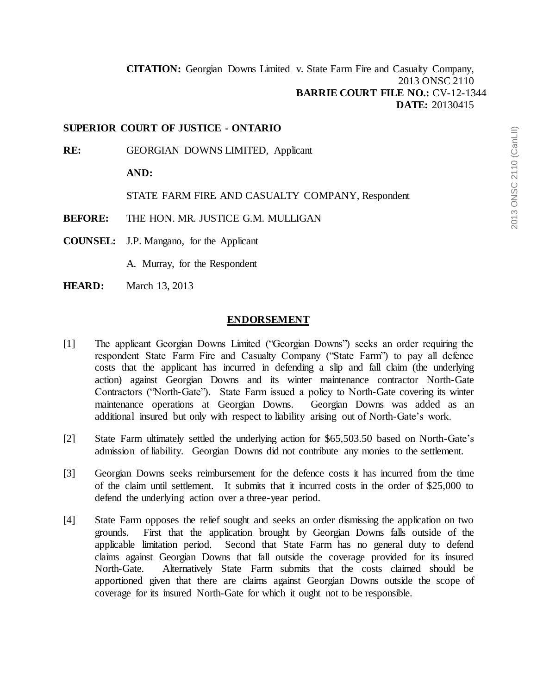**[CITATION:](http://intra.judicialsecurity.jus.gov.on.ca/NeutralCitation/)** Georgian Downs Limited v. State Farm Fire and Casualty Company, 2013 ONSC 2110 **BARRIE COURT FILE NO.:** CV-12-1344 **DATE:** 20130415

#### **SUPERIOR COURT OF JUSTICE - ONTARIO**

**RE:** GEORGIAN DOWNS LIMITED, Applicant

**AND:**

STATE FARM FIRE AND CASUALTY COMPANY, Respondent

**BEFORE:** THE HON. MR. JUSTICE G.M. MULLIGAN

**COUNSEL:** J.P. Mangano, for the Applicant

A. Murray, for the Respondent

**HEARD:** March 13, 2013

#### **ENDORSEMENT**

- [1] The applicant Georgian Downs Limited ("Georgian Downs") seeks an order requiring the respondent State Farm Fire and Casualty Company ("State Farm") to pay all defence costs that the applicant has incurred in defending a slip and fall claim (the underlying action) against Georgian Downs and its winter maintenance contractor North-Gate Contractors ("North-Gate"). State Farm issued a policy to North-Gate covering its winter maintenance operations at Georgian Downs. Georgian Downs was added as an additional insured but only with respect to liability arising out of North-Gate's work.
- [2] State Farm ultimately settled the underlying action for \$65,503.50 based on North-Gate's admission of liability. Georgian Downs did not contribute any monies to the settlement.
- [3] Georgian Downs seeks reimbursement for the defence costs it has incurred from the time of the claim until settlement. It submits that it incurred costs in the order of \$25,000 to defend the underlying action over a three-year period.
- [4] State Farm opposes the relief sought and seeks an order dismissing the application on two grounds. First that the application brought by Georgian Downs falls outside of the applicable limitation period. Second that State Farm has no general duty to defend claims against Georgian Downs that fall outside the coverage provided for its insured North-Gate. Alternatively State Farm submits that the costs claimed should be apportioned given that there are claims against Georgian Downs outside the scope of coverage for its insured North-Gate for which it ought not to be responsible.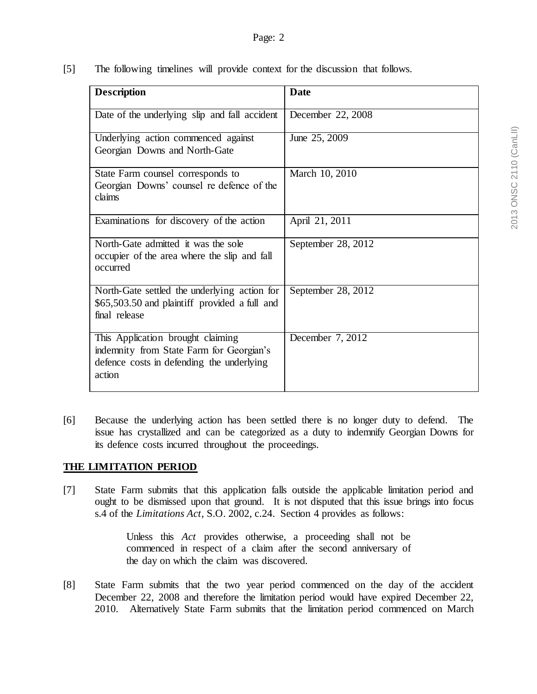[5] The following timelines will provide context for the discussion that follows.

| <b>Description</b>                                                                                                                   | <b>Date</b>        |
|--------------------------------------------------------------------------------------------------------------------------------------|--------------------|
| Date of the underlying slip and fall accident                                                                                        | December 22, 2008  |
| Underlying action commenced against<br>Georgian Downs and North-Gate                                                                 | June 25, 2009      |
| State Farm counsel corresponds to<br>Georgian Downs' counsel re defence of the<br>claims                                             | March 10, 2010     |
| Examinations for discovery of the action                                                                                             | April 21, 2011     |
| North-Gate admitted it was the sole<br>occupier of the area where the slip and fall<br>occurred                                      | September 28, 2012 |
| North-Gate settled the underlying action for<br>\$65,503.50 and plaintiff provided a full and<br>final release                       | September 28, 2012 |
| This Application brought claiming<br>indemnity from State Farm for Georgian's<br>defence costs in defending the underlying<br>action | December 7, 2012   |

[6] Because the underlying action has been settled there is no longer duty to defend. The issue has crystallized and can be categorized as a duty to indemnify Georgian Downs for its defence costs incurred throughout the proceedings.

# **THE LIMITATION PERIOD**

[7] State Farm submits that this application falls outside the applicable limitation period and ought to be dismissed upon that ground. It is not disputed that this issue brings into focus s.4 of the *Limitations Act*, S.O. 2002, c.24. Section 4 provides as follows:

> Unless this *Act* provides otherwise, a proceeding shall not be commenced in respect of a claim after the second anniversary of the day on which the claim was discovered.

[8] State Farm submits that the two year period commenced on the day of the accident December 22, 2008 and therefore the limitation period would have expired December 22, 2010. Alternatively State Farm submits that the limitation period commenced on March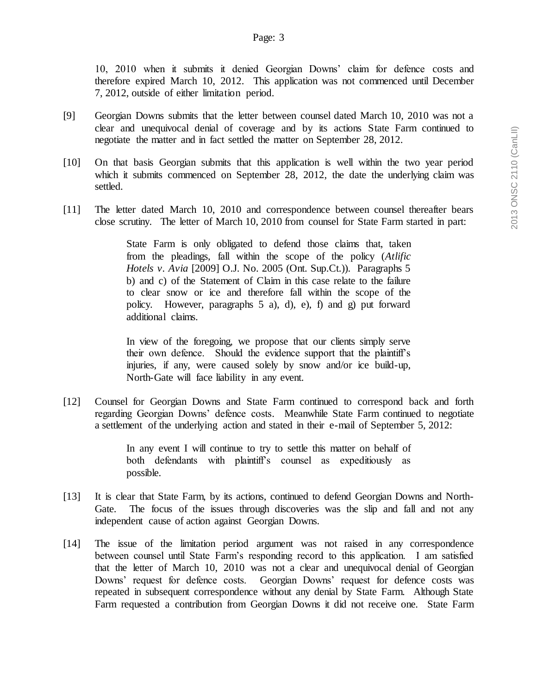10, 2010 when it submits it denied Georgian Downs' claim for defence costs and therefore expired March 10, 2012. This application was not commenced until December 7, 2012, outside of either limitation period.

- [9] Georgian Downs submits that the letter between counsel dated March 10, 2010 was not a clear and unequivocal denial of coverage and by its actions State Farm continued to negotiate the matter and in fact settled the matter on September 28, 2012.
- [10] On that basis Georgian submits that this application is well within the two year period which it submits commenced on September 28, 2012, the date the underlying claim was settled.
- [11] The letter dated March 10, 2010 and correspondence between counsel thereafter bears close scrutiny. The letter of March 10, 2010 from counsel for State Farm started in part:

State Farm is only obligated to defend those claims that, taken from the pleadings, fall within the scope of the policy (*Atlific Hotels v. Avia* [2009] O.J. No. 2005 (Ont. Sup.Ct.)). Paragraphs 5 b) and c) of the Statement of Claim in this case relate to the failure to clear snow or ice and therefore fall within the scope of the policy. However, paragraphs 5 a), d), e), f) and g) put forward additional claims.

In view of the foregoing, we propose that our clients simply serve their own defence. Should the evidence support that the plaintiff's injuries, if any, were caused solely by snow and/or ice build-up, North-Gate will face liability in any event.

[12] Counsel for Georgian Downs and State Farm continued to correspond back and forth regarding Georgian Downs' defence costs. Meanwhile State Farm continued to negotiate a settlement of the underlying action and stated in their e-mail of September 5, 2012:

> In any event I will continue to try to settle this matter on behalf of both defendants with plaintiff's counsel as expeditiously as possible.

- [13] It is clear that State Farm, by its actions, continued to defend Georgian Downs and North-Gate. The focus of the issues through discoveries was the slip and fall and not any independent cause of action against Georgian Downs.
- [14] The issue of the limitation period argument was not raised in any correspondence between counsel until State Farm's responding record to this application. I am satisfied that the letter of March 10, 2010 was not a clear and unequivocal denial of Georgian Downs' request for defence costs. Georgian Downs' request for defence costs was repeated in subsequent correspondence without any denial by State Farm. Although State Farm requested a contribution from Georgian Downs it did not receive one. State Farm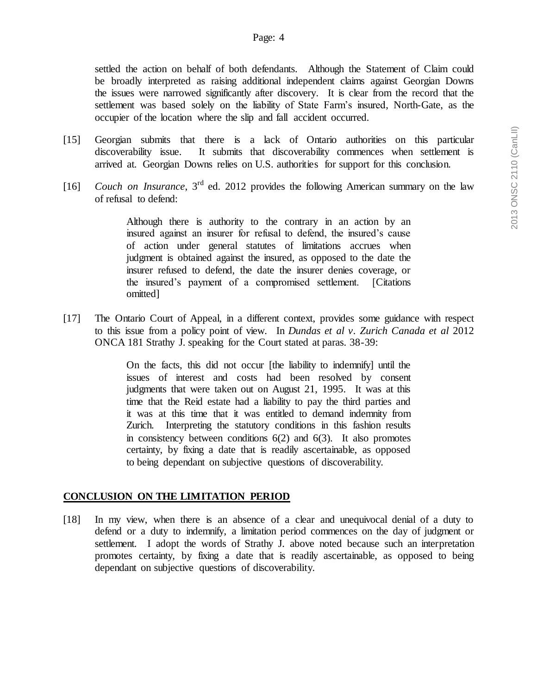settled the action on behalf of both defendants. Although the Statement of Claim could be broadly interpreted as raising additional independent claims against Georgian Downs the issues were narrowed significantly after discovery. It is clear from the record that the settlement was based solely on the liability of State Farm's insured, North-Gate, as the occupier of the location where the slip and fall accident occurred.

- [15] Georgian submits that there is a lack of Ontario authorities on this particular discoverability issue. It submits that discoverability commences when settlement is arrived at. Georgian Downs relies on U.S. authorities for support for this conclusion.
- [16] *Couch on Insurance*, 3<sup>rd</sup> ed. 2012 provides the following American summary on the law of refusal to defend:

Although there is authority to the contrary in an action by an insured against an insurer for refusal to defend, the insured's cause of action under general statutes of limitations accrues when judgment is obtained against the insured, as opposed to the date the insurer refused to defend, the date the insurer denies coverage, or the insured's payment of a compromised settlement. [Citations omitted]

[17] The Ontario Court of Appeal, in a different context, provides some guidance with respect to this issue from a policy point of view. In *Dundas et al v. Zurich Canada et al* 2012 ONCA 181 Strathy J. speaking for the Court stated at paras. 38-39:

> On the facts, this did not occur [the liability to indemnify] until the issues of interest and costs had been resolved by consent judgments that were taken out on August 21, 1995. It was at this time that the Reid estate had a liability to pay the third parties and it was at this time that it was entitled to demand indemnity from Zurich. Interpreting the statutory conditions in this fashion results in consistency between conditions  $6(2)$  and  $6(3)$ . It also promotes certainty, by fixing a date that is readily ascertainable, as opposed to being dependant on subjective questions of discoverability.

### **CONCLUSION ON THE LIMITATION PERIOD**

[18] In my view, when there is an absence of a clear and unequivocal denial of a duty to defend or a duty to indemnify, a limitation period commences on the day of judgment or settlement. I adopt the words of Strathy J. above noted because such an interpretation promotes certainty, by fixing a date that is readily ascertainable, as opposed to being dependant on subjective questions of discoverability.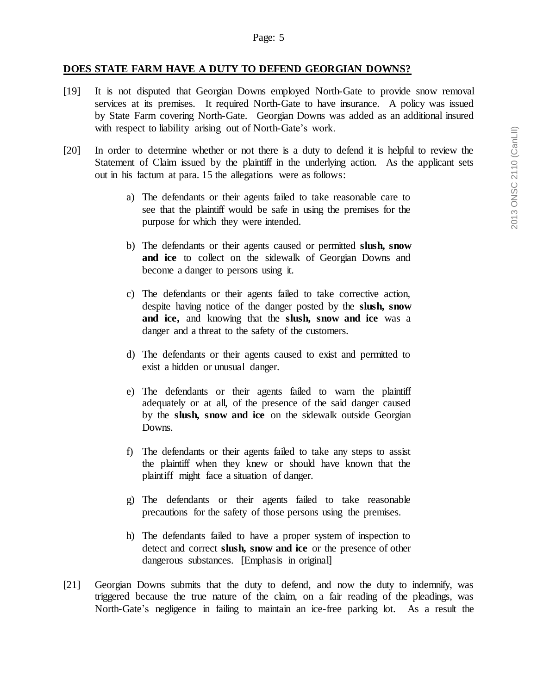#### **DOES STATE FARM HAVE A DUTY TO DEFEND GEORGIAN DOWNS?**

- [19] It is not disputed that Georgian Downs employed North-Gate to provide snow removal services at its premises. It required North-Gate to have insurance. A policy was issued by State Farm covering North-Gate. Georgian Downs was added as an additional insured with respect to liability arising out of North-Gate's work.
- [20] In order to determine whether or not there is a duty to defend it is helpful to review the Statement of Claim issued by the plaintiff in the underlying action. As the applicant sets out in his factum at para. 15 the allegations were as follows:
	- a) The defendants or their agents failed to take reasonable care to see that the plaintiff would be safe in using the premises for the purpose for which they were intended.
	- b) The defendants or their agents caused or permitted **slush, snow and ice** to collect on the sidewalk of Georgian Downs and become a danger to persons using it.
	- c) The defendants or their agents failed to take corrective action, despite having notice of the danger posted by the **slush, snow and ice,** and knowing that the **slush, snow and ice** was a danger and a threat to the safety of the customers.
	- d) The defendants or their agents caused to exist and permitted to exist a hidden or unusual danger.
	- e) The defendants or their agents failed to warn the plaintiff adequately or at all, of the presence of the said danger caused by the **slush, snow and ice** on the sidewalk outside Georgian Downs.
	- f) The defendants or their agents failed to take any steps to assist the plaintiff when they knew or should have known that the plaintiff might face a situation of danger.
	- g) The defendants or their agents failed to take reasonable precautions for the safety of those persons using the premises.
	- h) The defendants failed to have a proper system of inspection to detect and correct **slush, snow and ice** or the presence of other dangerous substances. [Emphasis in original]
- [21] Georgian Downs submits that the duty to defend, and now the duty to indemnify, was triggered because the true nature of the claim, on a fair reading of the pleadings, was North-Gate's negligence in failing to maintain an ice-free parking lot. As a result the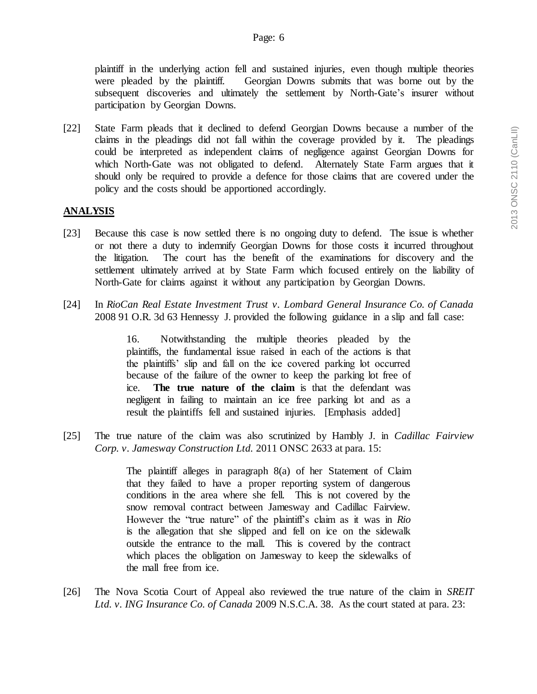plaintiff in the underlying action fell and sustained injuries, even though multiple theories were pleaded by the plaintiff. Georgian Downs submits that was borne out by the subsequent discoveries and ultimately the settlement by North-Gate's insurer without participation by Georgian Downs.

[22] State Farm pleads that it declined to defend Georgian Downs because a number of the claims in the pleadings did not fall within the coverage provided by it. The pleadings could be interpreted as independent claims of negligence against Georgian Downs for which North-Gate was not obligated to defend. Alternately State Farm argues that it should only be required to provide a defence for those claims that are covered under the policy and the costs should be apportioned accordingly.

## **ANALYSIS**

- [23] Because this case is now settled there is no ongoing duty to defend. The issue is whether or not there a duty to indemnify Georgian Downs for those costs it incurred throughout the litigation. The court has the benefit of the examinations for discovery and the settlement ultimately arrived at by State Farm which focused entirely on the liability of North-Gate for claims against it without any participation by Georgian Downs.
- [24] In *RioCan Real Estate Investment Trust v. Lombard General Insurance Co. of Canada* 2008 91 O.R. 3d 63 Hennessy J. provided the following guidance in a slip and fall case:

16. Notwithstanding the multiple theories pleaded by the plaintiffs, the fundamental issue raised in each of the actions is that the plaintiffs' slip and fall on the ice covered parking lot occurred because of the failure of the owner to keep the parking lot free of ice. **The true nature of the claim** is that the defendant was negligent in failing to maintain an ice free parking lot and as a result the plaintiffs fell and sustained injuries. [Emphasis added]

[25] The true nature of the claim was also scrutinized by Hambly J. in *Cadillac Fairview Corp. v. Jamesway Construction Ltd.* 2011 ONSC 2633 at para. 15:

> The plaintiff alleges in paragraph 8(a) of her Statement of Claim that they failed to have a proper reporting system of dangerous conditions in the area where she fell. This is not covered by the snow removal contract between Jamesway and Cadillac Fairview. However the "true nature" of the plaintiff's claim as it was in *Rio* is the allegation that she slipped and fell on ice on the sidewalk outside the entrance to the mall. This is covered by the contract which places the obligation on Jamesway to keep the sidewalks of the mall free from ice.

[26] The Nova Scotia Court of Appeal also reviewed the true nature of the claim in *SREIT Ltd. v. ING Insurance Co. of Canada* 2009 N.S.C.A. 38. As the court stated at para. 23: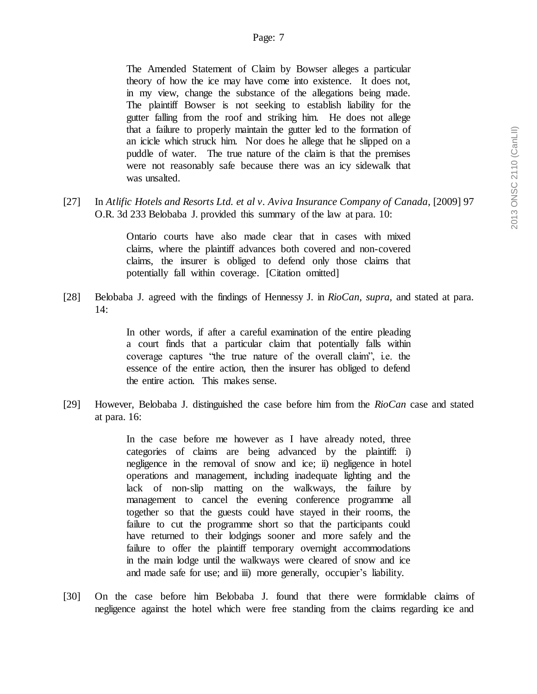The Amended Statement of Claim by Bowser alleges a particular theory of how the ice may have come into existence. It does not, in my view, change the substance of the allegations being made. The plaintiff Bowser is not seeking to establish liability for the gutter falling from the roof and striking him. He does not allege that a failure to properly maintain the gutter led to the formation of an icicle which struck him. Nor does he allege that he slipped on a puddle of water. The true nature of the claim is that the premises were not reasonably safe because there was an icy sidewalk that was unsalted.

[27] In *Atlific Hotels and Resorts Ltd. et al v. Aviva Insurance Company of Canada*, [2009] 97 O.R. 3d 233 Belobaba J. provided this summary of the law at para. 10:

> Ontario courts have also made clear that in cases with mixed claims, where the plaintiff advances both covered and non-covered claims, the insurer is obliged to defend only those claims that potentially fall within coverage. [Citation omitted]

[28] Belobaba J. agreed with the findings of Hennessy J. in *RioCan, supra,* and stated at para. 14:

> In other words, if after a careful examination of the entire pleading a court finds that a particular claim that potentially falls within coverage captures "the true nature of the overall claim", i.e. the essence of the entire action, then the insurer has obliged to defend the entire action. This makes sense.

[29] However, Belobaba J. distinguished the case before him from the *RioCan* case and stated at para. 16:

> In the case before me however as I have already noted, three categories of claims are being advanced by the plaintiff: i) negligence in the removal of snow and ice; ii) negligence in hotel operations and management, including inadequate lighting and the lack of non-slip matting on the walkways, the failure by management to cancel the evening conference programme all together so that the guests could have stayed in their rooms, the failure to cut the programme short so that the participants could have returned to their lodgings sooner and more safely and the failure to offer the plaintiff temporary overnight accommodations in the main lodge until the walkways were cleared of snow and ice and made safe for use; and iii) more generally, occupier's liability.

[30] On the case before him Belobaba J. found that there were formidable claims of negligence against the hotel which were free standing from the claims regarding ice and